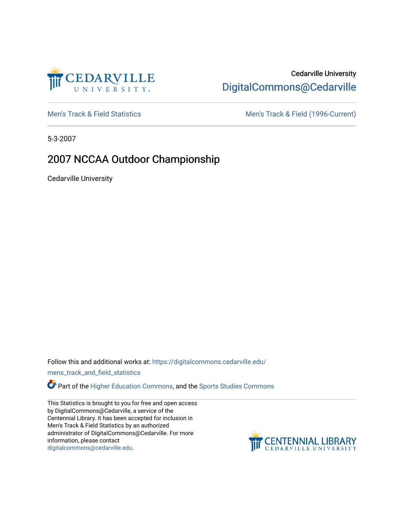

# Cedarville University [DigitalCommons@Cedarville](https://digitalcommons.cedarville.edu/)

[Men's Track & Field Statistics](https://digitalcommons.cedarville.edu/mens_track_and_field_statistics) [Men's Track & Field \(1996-Current\)](https://digitalcommons.cedarville.edu/mens_track_and_field) 

5-3-2007

# 2007 NCCAA Outdoor Championship

Cedarville University

Follow this and additional works at: [https://digitalcommons.cedarville.edu/](https://digitalcommons.cedarville.edu/mens_track_and_field_statistics?utm_source=digitalcommons.cedarville.edu%2Fmens_track_and_field_statistics%2F168&utm_medium=PDF&utm_campaign=PDFCoverPages)

[mens\\_track\\_and\\_field\\_statistics](https://digitalcommons.cedarville.edu/mens_track_and_field_statistics?utm_source=digitalcommons.cedarville.edu%2Fmens_track_and_field_statistics%2F168&utm_medium=PDF&utm_campaign=PDFCoverPages)

**Part of the [Higher Education Commons,](http://network.bepress.com/hgg/discipline/1245?utm_source=digitalcommons.cedarville.edu%2Fmens_track_and_field_statistics%2F168&utm_medium=PDF&utm_campaign=PDFCoverPages) and the Sports Studies Commons** 

This Statistics is brought to you for free and open access by DigitalCommons@Cedarville, a service of the Centennial Library. It has been accepted for inclusion in Men's Track & Field Statistics by an authorized administrator of DigitalCommons@Cedarville. For more information, please contact [digitalcommons@cedarville.edu](mailto:digitalcommons@cedarville.edu).

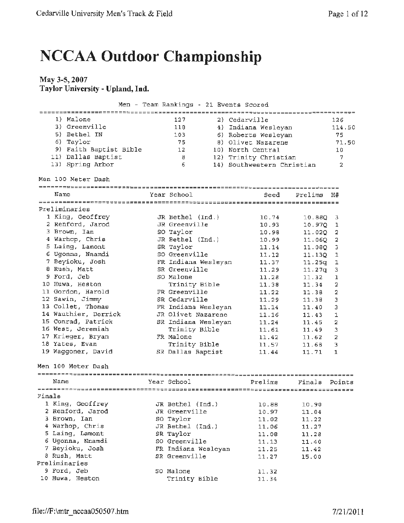# **NCCAA Outdoor Championship**

## **May 3-5, 2007 Taylor University- Upland, Ind.**

|  |  |  | Men - Team Rankings - 21 Events Scored |  |  |  |  |
|--|--|--|----------------------------------------|--|--|--|--|
|--|--|--|----------------------------------------|--|--|--|--|

|        | 1) Malone              | 127                 | 2) Cedarville              |         | 126            |
|--------|------------------------|---------------------|----------------------------|---------|----------------|
|        | 3) Greenville          | 118                 | 4) Indiana Wesleyan        |         | 114.50         |
|        | 5) Bethel IN           | 103                 | 6) Roberts Wesleyan        |         | 75             |
|        | 6) Taylor              | 75                  | 8) Olivet Nazarene         |         | 71.50          |
|        | 9) Faith Baptist Bible | 12                  | 10) North Central          |         | 10             |
|        | 11) Dallas Baptist     | 8                   | 12) Trinity Christian      |         | 7              |
|        | 13) Spring Arbor       | 6                   | 14) Southwestern Christian |         | $\overline{a}$ |
|        |                        |                     |                            |         |                |
|        | Men 100 Meter Dash     |                     |                            |         |                |
|        |                        |                     |                            |         |                |
|        | Name                   | Year School         | Seed                       | Prelims | Н#             |
|        |                        |                     |                            |         |                |
|        | Preliminaries          |                     |                            |         |                |
|        | 1 King, Geoffrey       | JR Bethel (Ind.)    | 10.74                      | 10.88Q  | З              |
|        | 2 Renford, Jarod       | JR Greenville       | 10.93                      | 10.970  | ı              |
|        | 3 Brown, Ian           | SO Taylor           | 10.98                      | 11.020  | 2              |
|        | 4 Warhop, Chris        | JR Bethel (Ind.)    | 10.99                      | 11.060  | $\overline{2}$ |
|        | 5 Laing, Lamont        | SR Taylor           | 11.14                      | 11.080  | 3              |
|        | 6 Ugonna, Nnamdi       | SO Greenville       | 11.12                      | 11.130  | ı              |
|        | 7 Beyioku, Josh        | FR Indiana Wesleyan | 11.37                      | 11.25q  | 1              |
|        | 8 Rush, Matt           | SR Greenville       | 11.29                      | 11.27q  | 3              |
|        | 9 Ford, Jeb            | SO Malone           | 11.28                      | 11.32   | ı              |
|        | 10 Huwa, Heston        | Trinity Bible       | 11.38                      | 11.34   | 2              |
|        | 11 Gordon, Harold      | FR Greenville       | 11.22                      | 11.38   | 2              |
|        | 12 Sawin, Jimmy        | SR Cedarville       | 11.29                      | 11.38   | 3              |
|        | 13 Collet, Thomas      | FR Indiana Wesleyan | 11.14                      | 11.40   | з              |
|        | 14 Wauthier, Derrick   | JR Olivet Nazarene  | 11.16                      | 11.43   | 1              |
|        | 15 Conrad, Patrick     | SR Indiana Wesleyan | 11.24                      | 11,45   | 2              |
|        | 16 West, Jeremiah      | Trinity Bible       | 11.61                      | 11.49   | 3              |
|        | 17 Krieger, Bryan      | FR Malone           | 11.42                      | 11.62   | 2              |
|        | 18 Yates, Evan         | Trinity Bible       | 11.57                      | 11.68   | 3              |
|        | 19 Waggoner, David     | SR Dallas Baptist   | 11.44                      | 11.71   | 1              |
|        |                        |                     |                            |         |                |
|        | Men 100 Meter Dash     |                     |                            |         |                |
|        |                        |                     |                            |         |                |
|        | Name                   | Year School         | Prelims                    | Finals  | Points         |
|        |                        |                     |                            |         |                |
| Finals |                        |                     |                            |         |                |
|        | 1 King, Geoffrey       | JR Bethel (Ind.)    | 10.88                      | 10.90   |                |
|        | 2 Renford, Jarod       | JR Greenville       | 10.97                      | 11.04   |                |
|        | 3 Brown, Ian           | SO Taylor           | 11.02                      | 11.22   |                |
|        | 4 Warhop, Chris        | JR Bethel (Ind.)    | 11.06                      | 11.27   |                |
|        | 5 Laing, Lamont        | SR Taylor           | 11.08                      | 11.28   |                |
|        | 6 Ugonna, Nnamdi       | SO Greenville       | 11.13                      | 11.40   |                |
|        | 7 Beyioku, Josh        | FR Indiana Wesleyan | 11.25                      | 11.42   |                |
|        | 8 Rush, Matt           | SR Greenville       | 11.27                      | 15.00   |                |
|        | Preliminaries          |                     |                            |         |                |
|        | 9 Ford, Jeb            | SO Malone           | 11.32                      |         |                |
|        | 10 Huwa, Heston        | Trinity Bible       | 11.34                      |         |                |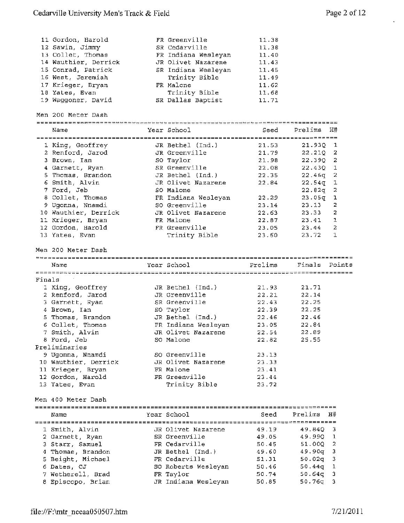k,

|        | 11 Gordon, Harold                      | FR Greenville                    | 11.38          |                  |        |
|--------|----------------------------------------|----------------------------------|----------------|------------------|--------|
|        | 12 Sawin, Jimmy                        | SR Cedarville                    | 11.38          |                  |        |
|        | 13 Collet, Thomas                      | FR Indiana Wesleyan              | 11.40          |                  |        |
|        | 14 Wauthier, Derrick                   | JR Olivet Nazarene               | 11.43          |                  |        |
|        | 15 Conrad, Patrick                     | SR Indiana Weslevan              | 11.45          |                  |        |
|        | 16 West, Jeremiah                      | Trinity Bible                    | 11.49          |                  |        |
|        | 17 Krieger, Bryan                      | FR Malone                        | 11.62          |                  |        |
|        | 18 Yates, Evan                         | Trinity Bible                    | 11.68          |                  |        |
|        | 19 Waggoner, David                     | SR Dallas Baptist                | 11.71          |                  |        |
|        | Men 200 Meter Dash                     |                                  |                |                  |        |
|        |                                        |                                  |                |                  |        |
|        | Name                                   | Year School                      | Seed           | Prelims          | H#     |
|        | 1 King, Geoffrey                       | JR Bethel (Ind.)                 | 21.53          | $21.93Q$ 1       |        |
|        | 2 Renford, Jarod                       | JR Greenville                    | 21.79          | 22.21Q           | 2      |
|        | 3 Brown, Ian                           | SO Taylor                        | 21.98          | 22.39Q 2         |        |
|        | 4 Garnett, Ryan                        | SR Greenville                    | 22.08          | 22.430 1         |        |
|        | 5 Thomas, Brandon                      | JR Bethel (Ind.)                 | 22.35          | 22.46q           | 2      |
|        | 6 Smith, Alvin                         | JR Olivet Nazarene               | 22.84          | $22.54$ q        | 1      |
|        | 7 Ford, Jeb                            | SO Malone                        |                | 22.82q           | 2      |
|        | 8 Collet, Thomas                       | FR Indiana Wesleyan              | 22.29          | 23.05g           | ı      |
|        | 9 Ugonna, Nnamdi                       | SO Greenville                    | 23.14          | 23.13            | 2      |
|        | 10 Wauthier, Derrick                   | JR Olivet Nazarene               | 22.63          | 23.33            | 2      |
|        | 11 Krieger, Bryan                      | FR Malone                        | 22.87          | 23.41            | 1      |
|        | 12 Gordon, Harold                      | FR Greenville                    | 23.05          | 23.44            | 2      |
|        |                                        |                                  | 23.60          | 23.72            | 1      |
|        | 13 Yates, Evan                         | Trinity Bible                    |                |                  |        |
|        | Men 200 Meter Dash                     |                                  |                |                  |        |
|        |                                        |                                  |                |                  |        |
|        | Name                                   | Year School                      | Prelims        | Finals Points    |        |
|        |                                        |                                  |                |                  |        |
| Finals |                                        |                                  |                |                  |        |
|        | 1 King, Geoffrey                       | JR Bethel (Ind.)                 | 21.93          | 21.71            |        |
|        | 2 Renford, Jarod                       | JR Greenville                    | 22.21          | 22.14            |        |
|        | 3 Garnett, Ryan                        | SR Greenville                    | 22.43          | 22,25            |        |
|        | 4 Brown, Ian                           | SO Taylor                        | 22.39          | 22.25            |        |
|        | 5 Thomas, Brandon                      | JR Bethel (Ind.)                 | 22.46          | 22.46            |        |
|        | 6 Collet, Thomas                       | FR Indiana Wesleyan              | 23.05          | 22.84            |        |
|        | 7 Smith, Alvin                         | JR Olivet Nazarene               | 22.54          | 22.89            |        |
|        | 8 Ford, Jeb                            | SO Malone                        | 22.82          | 25.55            |        |
|        | Preliminaries                          |                                  |                |                  |        |
|        | 9 Ugonna, Nnamdi                       | SO Greenville                    | 23.13          |                  |        |
|        | 10 Wauthier, Derrick                   | JR Olivet Nazarene               | 23.33          |                  |        |
|        |                                        | FR Malone                        | 23.41          |                  |        |
|        | 11 Krieger, Bryan                      | FR Greenville                    |                |                  |        |
|        | 12 Gordon, Harold<br>13 Yates, Evan    | Trinity Bible                    | 23.44<br>23.72 |                  |        |
|        | Men 400 Meter Dash                     |                                  |                |                  |        |
|        |                                        |                                  |                |                  |        |
|        | Name                                   | Year School                      | Seed           | Prelims          | H#     |
|        |                                        |                                  |                |                  |        |
|        | 1 Smith, Alvin                         | JR Olivet Nazarene               | 49.19          | 49.840           | 3.     |
|        | 2 Garnett, Ryan                        | SR Greenville                    | 49.05          | 49.99Q           | 1      |
|        | 3 Starr, Samuel                        | FR Cedarville                    | 50.45          | 51.00Q           | 2      |
|        | 4 Thomas, Brandon                      | JR Bethel (Ind.)                 | 49.60          | 49.90q           | з      |
|        | 5 Beight, Michael                      | FR Cedarville                    | 51.31          | 50.02q           | 3      |
|        | 6 Dates, CJ                            | SO Roberts Wesleyan              | 50.46          | 50.44q           | 1      |
|        | 7 Wetherell, Brad<br>8 Episcopo, Brian | FR Taylor<br>JR Indiana Wesleyan | 50.74<br>50.85 | 50.64g<br>50.76q | 3<br>3 |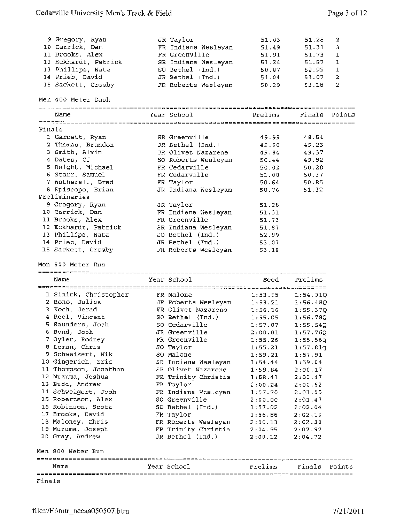|        |                                    |                                           | 51.03                         |          | 2      |
|--------|------------------------------------|-------------------------------------------|-------------------------------|----------|--------|
|        | 9 Gregory, Ryan<br>10 Carrick, Dan | JR Taylor                                 |                               | 51.28    |        |
|        |                                    | FR Indiana Wesleyan                       | 51.49                         | 51,31    | 3      |
|        | 11 Brooks, Alex                    | FR Greenville                             | 51.91                         | 51.73    | ı      |
|        | 12 Eckhardt, Patrick               | SR Indiana Wesleyan                       | 51.24                         | 51.87    | 1      |
|        | 13 Phillips, Nate                  | SO Bethel (Ind.)                          | 50.87                         | 52.99    | 1      |
|        | 14 Prieb, David                    | $JR$ Bethel $(Ind.)$                      | 51.04                         | 53.07    | 2      |
|        | 15 Sackett, Crosby                 | FR Roberts Wesleyan                       | 50.29                         | 53.18    | 2      |
|        | Men 400 Meter Dash                 |                                           |                               |          |        |
|        | Name                               | Year School                               | Prelims                       | Finals   | Points |
|        |                                    |                                           |                               |          |        |
| Finals |                                    |                                           |                               |          |        |
|        | 1 Garnett, Ryan                    | SR Greenville                             | 49.99                         | 48.54    |        |
|        | 2 Thomas, Brandon                  | JR Bethel (Ind.)                          | 49.90                         | 49.23    |        |
|        | 3 Smith, Alvin                     | JR Olivet Nazarene                        | 49.84                         | 49.37    |        |
|        | 4 Dates, CJ                        | SO Roberts Wesleyan                       | 50.44                         | 49.92    |        |
|        | 5 Beight, Michael                  | FR Cedarville                             | 50.02                         | 50.28    |        |
|        | 6 Starr, Samuel                    | FR Cedarville                             | 51.00                         | 50.37    |        |
|        | 7 Wetherell, Brad                  | FR Taylor                                 | 50.64                         | 50.85    |        |
|        | 8 Episcopo, Brian                  | JR Indiana Wesleyan                       | 50.76                         | 51.32    |        |
|        | Preliminaries                      |                                           |                               |          |        |
|        | 9 Gregory, Ryan                    | JR Taylor                                 | 51.28                         |          |        |
|        | 10 Carrick, Dan                    | FR Indiana Wesleyan                       | 51,31                         |          |        |
|        | 11 Brooks, Alex                    | FR Greenville                             | 51.73                         |          |        |
|        |                                    |                                           |                               |          |        |
|        | 12 Eckhardt, Patrick               | SR Indiana Wesleyan                       | 51.87                         |          |        |
|        | 13 Phillips, Nate                  | SO Bethel (Ind.)                          | 52.99                         |          |        |
|        | 14 Prieb, David                    | JR Bethel (Ind.)                          | 53.07                         |          |        |
|        | 15 Sackett, Crosby                 | FR Roberts Wesleyan                       | 53.18                         |          |        |
|        |                                    |                                           |                               |          |        |
|        | Men 800 Meter Run                  |                                           |                               |          |        |
|        |                                    |                                           |                               |          |        |
|        | Name                               | Year School                               | Seed                          | Prelims  |        |
|        |                                    |                                           | ============================= |          |        |
|        | 1 Sinick, Christopher              | FR Malone                                 | 1:53.95                       | 1:54.91Q |        |
|        | 2 Rono, Julius                     | JR Roberts Wesleyan                       | 1:53.21                       | 1:56.48Q |        |
|        | 3 Koch, Jerad                      | FR Olivet Nazarene                        | 1:56.16                       | 1:55.37Q |        |
|        | 4 Reel, Vincent                    | SO Bethel (Ind.)                          | 1:55.05                       | 1:56.780 |        |
|        | 5 Saunders, Josh                   | SO Cedarville                             | 1:57.07                       | 1:55.54Q |        |
|        | 6 Bond, Josh                       | JR Greenville                             | 2:00.81                       | 1:57.76Q |        |
|        | 7 Oyler, Rodney                    | FR Greenville                             | 1:55.26                       | 1:55.56q |        |
|        | 8 Leman, Chris                     | SO Taylor                                 | 1:55.21                       | 1:57.81q |        |
|        | 9 Schweikert, Nik                  | SO Malone                                 | 1:59.21                       | 1:57.91  |        |
|        | 10 Gingerich, Eric                 |                                           | 1:54.44                       | 1:59.04  |        |
|        |                                    | SR Indiana Wesleyan<br>SR Olivet Nazarene |                               |          |        |
|        | 11 Thompson, Jonathon              |                                           | 1:59.84                       | 2:00.17  |        |
|        | 12 Muzuma, Joshua                  | FR Trinity Christia                       | 1:58.41                       | 2:00.47  |        |
|        | 13 Budd, Andrew                    | FR Taylor                                 | 2:00.24                       | 2:00.62  |        |
|        | 14 Schweigert, Josh                | FR Indiana Wesleyan                       | 1:57.70                       | 2:01.05  |        |
|        | 15 Robertson, Alex                 | SO Greenville                             | 2:00.00                       | 2:01.47  |        |
|        | 16 Robinson, Scott                 | SO Bethel (Ind.)                          | 1:57.02                       | 2:02.04  |        |
|        | 17 Brooks, David                   | FR Taylor                                 | 1:56.86                       | 2:02.10  |        |
|        | 18 Maloney, Chris                  | FR Roberts Wesleyan                       | 2:00.13                       | 2:02.30  |        |
|        | 19 Muzuma, Joseph                  | FR Trinity Christia                       | 2:04.95                       | 2:02.97  |        |
|        | 20 Gray, Andrew                    | JR Bethel (Ind.)                          | 2:00.12                       | 2:04.72  |        |
|        | Men 800 Meter Run                  |                                           |                               |          |        |
|        |                                    |                                           |                               |          |        |
|        | Name                               | Year School                               | Prelims                       | Finals   | Points |
| Finals |                                    |                                           |                               |          |        |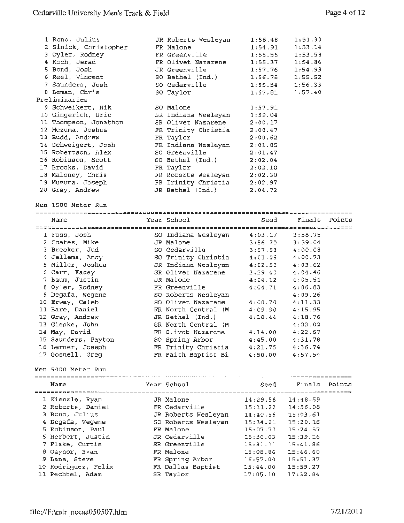| 1 Rono, Julius<br>2 Sinick, Christopher<br>3 Oyler, Rodney<br>4 Koch, Jerad<br>5 Bond, Josh<br>6 Reel, Vincent<br>7 Saunders, Josh<br>8 Leman, Chris<br>Preliminaries<br>9 Schweikert, Nik<br>10 Gingerich, Eric<br>11 Thompson, Jonathon<br>12 Muzuma, Joshua | JR Roberts Wesleyan<br>FR Malone<br>FR Greenville<br>FR Olivet Nazarene<br>JR Greenville<br>SO Bethel (Ind.)<br>SO Cedarville<br>SO Taylor<br>SO Malone<br>SR Indiana Wesleyan<br>SR Olivet Nazarene<br>FR Trinity Christia | 1:56.48<br>1:54.91<br>1:55.56<br>1:55.37<br>1:57.76<br>1:56.78<br>1:55.54<br>1:57.81<br>1:57.91<br>1:59.04<br>2:00.17<br>2:00.47 | 1:51.30<br>1:53.14<br>1:53.58<br>1:54.86<br>1:54.99<br>1:55.52<br>1:56.33<br>1:57.40 |        |
|----------------------------------------------------------------------------------------------------------------------------------------------------------------------------------------------------------------------------------------------------------------|-----------------------------------------------------------------------------------------------------------------------------------------------------------------------------------------------------------------------------|----------------------------------------------------------------------------------------------------------------------------------|--------------------------------------------------------------------------------------|--------|
| 13 Budd, Andrew<br>14 Schweigert, Josh<br>15 Robertson, Alex<br>16 Robinson, Scott<br>17 Brooks, David                                                                                                                                                         | FR Taylor<br>FR Indiana Wesleyan<br>SO Greenville<br>SO Bethel (Ind.)<br>FR Taylor                                                                                                                                          | 2:00.62<br>2:01.05<br>2:01.47<br>2:02.04<br>2:02.10                                                                              |                                                                                      |        |
| 18 Maloney, Chris<br>19 Muzuma, Joseph<br>20 Gray, Andrew<br>Men 1500 Meter Run                                                                                                                                                                                | FR Roberts Wesleyan<br>FR Trinity Christia<br>JR Bethel (Ind.)                                                                                                                                                              | 2:02.30<br>2:02.97<br>2:04.72                                                                                                    |                                                                                      |        |
|                                                                                                                                                                                                                                                                |                                                                                                                                                                                                                             |                                                                                                                                  |                                                                                      |        |
| Name                                                                                                                                                                                                                                                           | Year School                                                                                                                                                                                                                 | Seed                                                                                                                             | Finals                                                                               | Points |
| 1 Foss, Josh                                                                                                                                                                                                                                                   | SO Indiana Wesleyan                                                                                                                                                                                                         | 4:03.17                                                                                                                          | 3:58.75                                                                              |        |
| 2 Coates, Mike                                                                                                                                                                                                                                                 | JR Malone                                                                                                                                                                                                                   | 3:56.70                                                                                                                          | 3:59.04                                                                              |        |
| 3 Brooker, Jud                                                                                                                                                                                                                                                 | SO Cedarville                                                                                                                                                                                                               | 3:57.53                                                                                                                          | 4:00.08                                                                              |        |
| 4 Jellema, Andy                                                                                                                                                                                                                                                | SO Trinity Christia                                                                                                                                                                                                         | 4:01.05                                                                                                                          | 4:00.73                                                                              |        |
| 5 Miller, Joshua                                                                                                                                                                                                                                               | JR Indiana Wesleyan                                                                                                                                                                                                         | 4:02.50                                                                                                                          | 4:03.62                                                                              |        |
| 6 Carr, Kacey                                                                                                                                                                                                                                                  | SR Olivet Nazarene                                                                                                                                                                                                          | 3:59.40                                                                                                                          | 4:04.46                                                                              |        |
| 7 Baum, Justin                                                                                                                                                                                                                                                 | JR Malone                                                                                                                                                                                                                   | 4:04.12                                                                                                                          | 4:05.51                                                                              |        |
| 8 Oyler, Rodney                                                                                                                                                                                                                                                | FR Greenville                                                                                                                                                                                                               | 4:04.71                                                                                                                          | 4:06.83                                                                              |        |
| 9 Degafa, Wegene                                                                                                                                                                                                                                               | SO Roberts Wesleyan                                                                                                                                                                                                         |                                                                                                                                  | 4:09.26                                                                              |        |
| 10 Erway, Caleb                                                                                                                                                                                                                                                | SO Olivet Nazarene                                                                                                                                                                                                          | 4:00.70                                                                                                                          | 4:11.33                                                                              |        |
| 11 Bare, Daniel                                                                                                                                                                                                                                                | FR North Central (M)                                                                                                                                                                                                        | 4:09.90                                                                                                                          | 4:15.95                                                                              |        |
| 12 Gray, Andrew                                                                                                                                                                                                                                                | JR Bethel (Ind.)                                                                                                                                                                                                            | 4:10.44                                                                                                                          | 4:18.76                                                                              |        |
| 13 Gieske, John                                                                                                                                                                                                                                                | SR North Central (M                                                                                                                                                                                                         |                                                                                                                                  | 4:22.02                                                                              |        |
| 14 May, David                                                                                                                                                                                                                                                  | FR Olivet Nazarene                                                                                                                                                                                                          | 4:14.00                                                                                                                          | 4:22.67                                                                              |        |
| 15 Saunders, Payton                                                                                                                                                                                                                                            | SO Spring Arbor                                                                                                                                                                                                             | 4:45.00                                                                                                                          | 4:31.78                                                                              |        |
| 16 Lerner, Joseph                                                                                                                                                                                                                                              | FR Trinity Christia                                                                                                                                                                                                         | 4:21.75                                                                                                                          | 4:36.74                                                                              |        |
| 17 Gosnell, Greg                                                                                                                                                                                                                                               | FR Faith Baptist Bi                                                                                                                                                                                                         | 4:50.00                                                                                                                          | 4:57.54                                                                              |        |
| Men 5000 Meter Run                                                                                                                                                                                                                                             |                                                                                                                                                                                                                             |                                                                                                                                  |                                                                                      |        |
| Name                                                                                                                                                                                                                                                           | Year School                                                                                                                                                                                                                 | Seed                                                                                                                             | Finals                                                                               | Points |
|                                                                                                                                                                                                                                                                | JR Malone                                                                                                                                                                                                                   |                                                                                                                                  |                                                                                      |        |
| 1 Kienzle, Ryan<br>2 Roberts, Daniel                                                                                                                                                                                                                           |                                                                                                                                                                                                                             | 14:29.58<br>15:11.22                                                                                                             | 14:48.59<br>14:56.08                                                                 |        |
| 3 Rono, Julius                                                                                                                                                                                                                                                 | FR Cedarville<br>JR Roberts Wesleyan                                                                                                                                                                                        | 14:40.56                                                                                                                         | 15:03.61                                                                             |        |
|                                                                                                                                                                                                                                                                | SO Roberts Wesleyan                                                                                                                                                                                                         |                                                                                                                                  |                                                                                      |        |
|                                                                                                                                                                                                                                                                |                                                                                                                                                                                                                             | 15:34.01                                                                                                                         | 15:20.16                                                                             |        |
| 4 Degafa, Wegene                                                                                                                                                                                                                                               |                                                                                                                                                                                                                             |                                                                                                                                  |                                                                                      |        |
| 5 Robinson, Paul                                                                                                                                                                                                                                               | FR Malone                                                                                                                                                                                                                   | 15:07.77                                                                                                                         | 15:24.57                                                                             |        |
| 6 Herbert, Justin                                                                                                                                                                                                                                              | JR Cedarville                                                                                                                                                                                                               | 15:30.03                                                                                                                         | 15:39.16                                                                             |        |
| 7 Flake, Curtis                                                                                                                                                                                                                                                | SR Greenville                                                                                                                                                                                                               | 15:31.11                                                                                                                         | 15:41.86                                                                             |        |
| 8 Gaynor, Evan                                                                                                                                                                                                                                                 | FR Malone                                                                                                                                                                                                                   | 15:08.86                                                                                                                         | 15:46.60                                                                             |        |
| 9 Lane, Steve                                                                                                                                                                                                                                                  | FR Spring Arbor                                                                                                                                                                                                             | 16:57.00                                                                                                                         | 15:51.37                                                                             |        |
| 10 Rodriguez, Felix<br>11 Pechtel, Adam                                                                                                                                                                                                                        | FR Dallas Baptist<br>SR Taylor                                                                                                                                                                                              | 15:44.00<br>17:05.10                                                                                                             | 15:59.27<br>17:32.84                                                                 |        |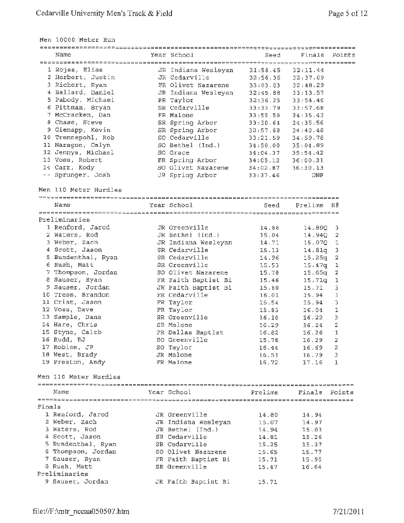Men 10000 Meter Run

|        | Name                  | Year School         | Seed     | Finals<br>Points      |  |
|--------|-----------------------|---------------------|----------|-----------------------|--|
|        |                       |                     |          |                       |  |
|        | 1 Rojas, Elias        | JR Indiana Wesleyan | 31:58.45 | 32:11.44              |  |
|        | 2 Herbert, Justin     | JR Cedarville       | 32:56.36 | 32:37.09              |  |
|        | 3 Richert, Ryan       | FR Olivet Nazarene  | 33:03.03 | 32:48.29              |  |
|        | 4 Ballard, Daniel     | JR Indiana Wesleyan | 32:45.88 | 33:13.57              |  |
|        | 5 Pabody, Michael     | FR Taylor           | 32:36.25 | 33:54.46              |  |
|        | 6 Pittman, Bryan      | SR Cedarville       | 33:33.79 | 33:57.68              |  |
|        | 7 McCracken, Dan      | FR Malone           | 33:55.58 | 34:35.43              |  |
|        | 8 Chase, Steve        | SR Spring Arbor     | 33:30.64 | 34:35.56              |  |
|        | 9 Gienapp, Kevin      | SR Spring Arbor     | 32:57.68 | 34:40.48              |  |
|        | 10 Trennepohl, Rob    | SO Cedarville       | 33:21.59 | 34:59.78              |  |
|        | 11 Naragon, Calyn     | SO Bethel (Ind.)    | 34:50.00 | 35:04.09              |  |
|        | 12 Jennys, Michael    | SO Grace            | 34:04.37 | 35:54.42              |  |
|        | 13 Voss, Robert       | FR Spring Arbor     | 34:05.12 | 36:00.31              |  |
|        | 14 Carr, Kody         | SO Olivet Nazarene  | 34:02.87 | 36:30.13              |  |
|        | -- Sprunger, Josh     | JR Spring Arbor     | 33:37.46 | DNF                   |  |
|        |                       |                     |          |                       |  |
|        | Men 110 Meter Hurdles |                     |          |                       |  |
|        |                       |                     |          |                       |  |
|        | Name                  | Year School         | Seed     | Prelims<br>Η#         |  |
|        |                       |                     |          |                       |  |
|        | Preliminaries         |                     |          |                       |  |
|        | 1 Renford, Jarod      | JR Greenville       | 14.86    | 14.80Q<br>3.          |  |
|        | 2 Waters, Rod         | JR Bethel (Ind.)    | 15.04    | 14.94Q<br>2           |  |
|        | 3 Weber, Zach         | JR Indiana Wesleyan | 14.71    | 15.070<br>1           |  |
|        | 4 Scott, Jason        | SR Cedarville       | 15.13    | 14.81q<br>з.          |  |
|        | 5 Bundenthal, Ryan    | SR Cedarville       | 14.96    | 2<br>15.25q           |  |
|        | 6 Rush, Matt          | SR Greenville       | 15.53    | 1<br>15.47q           |  |
|        | 7 Thompson, Jordan    | SO Olivet Nazarene  | 15.78    | 2<br>15.65q           |  |
|        | 8 Sauser, Ryan        | FR Faith Baptist Bi | 15.46    | $\mathbf 1$<br>15.71q |  |
|        | 9 Sauser, Jordan      | JR Faith Baptist Bi | 15.80    | 15.71<br>3            |  |
|        | 10 Tress, Brandon     | FR Cedarville       | 16.01    | $\mathbf 1$<br>15.94  |  |
|        | 11 Crist, Jason       | FR Taylor           | 15.54    | 3<br>15.94            |  |
|        | 12 Voss, Dave         | FR Taylor           | 15.83    | 16.04<br>1            |  |
|        | 13 Sample, Dane       | SR Greenville       | 16.10    | 3<br>16.22            |  |
|        | 14 Hare, Chris        | SR Malone           | 16.29    | 2<br>16.24            |  |
|        | 15 Styne, Caleb       | FR Dallas Baptist   | 16.82    | $\mathbf{1}$<br>16.26 |  |
|        | 16 Rudd, BJ           | SO Greenville       | 15.78    | $16.29$ 2             |  |
|        | 17 Robles, JP         | SO Taylor           | 16.44    | 2<br>16.69            |  |
|        | 18 West, Brady        | JR Malone           | 16.51    | 16.79<br>3            |  |
|        | 19 Preston, Andy      | FR Malone           | 16.72    | 17.16<br>1            |  |
|        |                       |                     |          |                       |  |
|        | Men 110 Meter Hurdles |                     |          |                       |  |
|        |                       |                     |          |                       |  |
|        | Name                  | Year School         | Prelims  | Finals<br>Points      |  |
|        |                       |                     |          |                       |  |
| Finals |                       |                     |          |                       |  |
|        | 1 Renford, Jarod      | JR Greenville       | 14.80    | 14.94                 |  |
|        | 2 Weber, Zach         | JR Indiana Wesleyan | 15.07    | 14.97                 |  |
|        | 3 Waters, Rod         | JR Bethel (Ind.)    | 14.94    | 15.03                 |  |
|        | 4 Scott, Jason        | SR Cedarville       | 14.81    | 15.26                 |  |
|        | 5 Bundenthal, Ryan    | SR Cedarville       | 15.25    | 15.37                 |  |
|        | 6 Thompson, Jordan    | SO Olivet Nazarene  | 15.65    | 15.77                 |  |
|        | 7 Sauser, Ryan        | FR Faith Baptist Bi | 15.71    | 15.95                 |  |
|        | 8 Rush, Matt          | SR Greenville       | 15.47    | 16.64                 |  |
|        | Preliminaries         |                     |          |                       |  |
|        | 9 Sauser, Jordan      | JR Faith Baptist Bi | 15.71    |                       |  |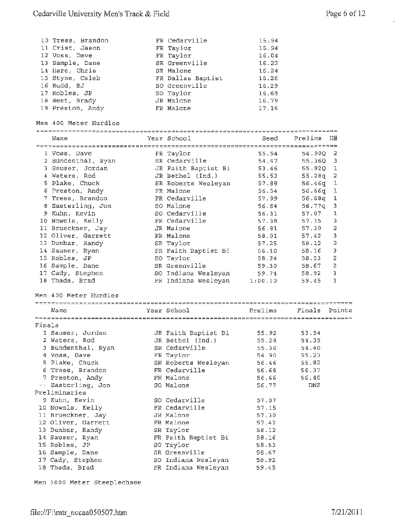$\bar{\star}$ 

|        | 10 Tress, Brandon     | FR Cedarville       | 15.94   |         |              |
|--------|-----------------------|---------------------|---------|---------|--------------|
|        | 11 Crist, Jason       | FR Taylor           | 15.94   |         |              |
|        | 12 Voss, Dave         | FR Taylor           | 16.04   |         |              |
|        | 13 Sample, Dane       | SR Greenville       | 16.22   |         |              |
|        | 14 Hare, Chris        | SR Malone           | 16.24   |         |              |
|        | 15 Styne, Caleb       | FR Dallas Baptist   | 16.26   |         |              |
|        | 16 Rudd, BJ           | SO Greenville       | 16.29   |         |              |
|        |                       |                     | 16.69   |         |              |
|        | 17 Robles, JP         | SO Taylor           |         |         |              |
|        | 18 West, Brady        | JR Malone           | 16.79   |         |              |
|        | 19 Preston, Andy      | FR Malone           | 17.16   |         |              |
|        |                       |                     |         |         |              |
|        | Men 400 Meter Hurdles |                     |         |         |              |
|        |                       |                     |         |         |              |
|        | Name                  | Year School         | Seed    | Prelime | H#           |
|        |                       |                     |         |         |              |
|        | 1 Voss, Dave          | FR Taylor           | 55.54   | 54.90Q  | 2            |
|        | 2 Bundenthal, Ryan    | SR Cedarville       | 54.47   | 55.360  | з            |
|        | 3 Sauser, Jordan      | JR Faith Baptist Bi | 53.46   | 55.920  | $\mathtt{1}$ |
|        | 4 Waters, Rod         | JR Bethel (Ind.)    | 55.53   | 55.28q  | 2            |
|        |                       |                     |         |         |              |
|        | 5 Plake, Chuck        | SR Roberts Wesleyan | 57.88   | 56.46q  | 1            |
|        | 6 Preston, Andy       | FR Malone           | 56.54   | 56.66q  | 1            |
|        | 7 Tress, Brandon      | FR Cedarville       | 57.99   | 56.68q  | ı            |
|        | 8 Easterling, Jon     | SO Malone           | 56.64   | 56.77q  | з            |
|        | 9 Kuhn, Kevin         | SO Cedarville       | 56.31   | 57.07   | 1            |
|        | 10 Nowels, Kelly      | FR Cedarville       | 57.38   | 57.15   | 3            |
|        | 11 Brueckner, Jay     | JR Malone           | 56.81   | 57.30   | 2            |
|        | 12 Oliver, Garrett    | FR Malone           | 58.01   | 57.42   | 3            |
|        | 13 Dunbar, Randy      | SR Taylor           | 57.25   | 58.12   | 2            |
|        |                       |                     |         |         | Э            |
|        | 14 Sauser, Ryan       | FR Faith Baptist Bi | 56.10   | 58.16   |              |
|        | 15 Robles, JP         | SO Taylor           | 58.24   | 58.53   | 2            |
|        | 16 Sample, Dane       | SR Greenville       | 59.30   | 58,67   | 2            |
|        | 17 Cady, Stephen      | SO Indiana Wesleyan | 59.74   | 58.92   | 3            |
|        | 18 Thada, Brad        | FR Indiana Wesleyan | 1:00.10 | 59.45   | ı            |
|        |                       |                     |         |         |              |
|        | Men 400 Meter Hurdles |                     |         |         |              |
|        |                       |                     |         |         |              |
|        | Name                  | Year School         | Prelims | Finals  | Points       |
|        |                       |                     |         |         |              |
| Finals |                       |                     |         |         |              |
|        | 1 Sauser, Jordan      | JR Faith Baptist Bi | 55.92   | 53.54   |              |
|        |                       |                     |         |         |              |
|        | 2 Waters, Rod         | JR Bethel (Ind.)    | 55.28   | 54.35   |              |
|        | 3 Bundenthal, Ryan    | SR Cedarville       | 55.36   | 54.40   |              |
|        | 4 Voss, Dave          | FR Taylor           | 54.90   | 55.23   |              |
|        | 5 Plake, Chuck        | SR Roberts Wesleyan | 56.46   | 55.82   |              |
|        | 6 Tress, Brandon      | FR Cedarville       | 56,68   | 56.37   |              |
|        | 7 Preston, Andy       | FR Malone           | 56.66   | 56.40   |              |
|        | -- Easterling, Jon    | SO Malone           | 56.77   | DNF     |              |
|        | Preliminaries         |                     |         |         |              |
|        | 9 Kuhn, Kevin         | SO Cedarville       | 57.07   |         |              |
|        | 10 Nowels, Kelly      | FR Cedarville       | 57.15   |         |              |
|        |                       |                     |         |         |              |
|        | 11 Brueckner, Jay     | JR Malone           | 57.30   |         |              |
|        | 12 Oliver, Garrett    | FR Malone           | 57.42   |         |              |
|        | 13 Dunbar, Randy      | SR Taylor           | 58.12   |         |              |
|        | 14 Sauser, Ryan       | FR Faith Baptist Bi | 58.16   |         |              |
|        | 15 Robles, JP         | SO Taylor           | 58.53   |         |              |
|        | 16 Sample, Dane       | SR Greenville       | 56.67   |         |              |
|        | 17 Cady, Stephen      | SO Indiana Wesleyan | 58.92   |         |              |
|        | 18 Thada, Brad        | FR Indiana Wesleyan | 59.45   |         |              |
|        |                       |                     |         |         |              |

Men 3000 Meter Steeplechase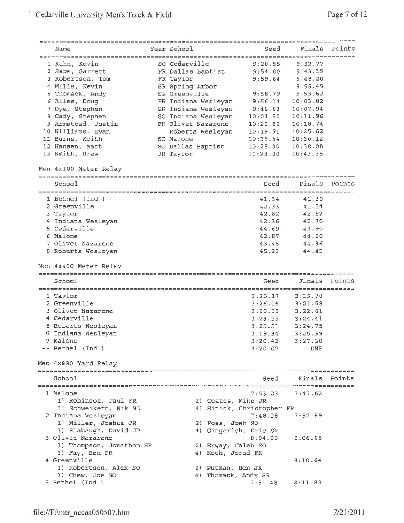| Name                     | Year School         | Seed                      |          | Finals Points |
|--------------------------|---------------------|---------------------------|----------|---------------|
|                          |                     |                           |          |               |
| 1 Kuhn, Kevin            | SO Cedarville       | 9:20.55                   | 9:32.77  |               |
| 2 Sage, Garrett          | FR Dallas Baptist   | 9:54.00                   | 9:43.19  |               |
| 3 Robertson, Tom         | FR Taylor           | 9:59.64                   | 9:48.20  |               |
| 4 Mills, Kevin           | SR Spring Arbor     |                           | 9:55.49  |               |
| 5 Thomack, Andy          | SR Greenville       | 9:58.79                   | 9:59.62  |               |
|                          |                     | 9:56.14                   |          |               |
| 6 Alles, Doug            | FR Indiana Wesleyan |                           | 10:03.82 |               |
| 7 Dye, Stephen           | SR Indiana Wesleyan | 9:48.63                   | 10:07.94 |               |
| 8 Cady, Stephen          | SO Indiana Wesleyan | 10:01.50                  | 10:11.96 |               |
| 9 Armstead, Justin       | FR Olivet Nazarene  | 10:20.80                  | 10:18.74 |               |
| 10 Williams, Evan        | Roberts Wesleyan    | 10:19.91                  | 10:25.62 |               |
| 11 Burns, Keith          | SO Malone           | 10:19.54                  | 10:30.12 |               |
| 12 Hansen, Matt          | SO Dallas Baptist   | 10:28.00                  | 10:38.08 |               |
| 13 Smith, Drew           | JR Taylor           | 10:23.30                  | 10:43.35 |               |
| Men 4x100 Meter Relay    |                     |                           |          |               |
|                          |                     |                           |          |               |
| School                   |                     | Seed                      | Finals   | Points        |
|                          |                     |                           |          |               |
| $1$ Bethel $(Ind.)$      |                     | 41.34                     | 41.30    |               |
| 2 Greenville             |                     | 42.33                     | 41.84    |               |
| 3 Taylor                 |                     | 42.82                     | 42.62    |               |
| 4 Indiana Wesleyan       |                     | 42.36                     | 42.76    |               |
| 5 Cedarville             |                     |                           |          |               |
|                          |                     | 44.69                     | 43.90    |               |
| 6 Malone                 |                     | 42.87                     | 44.20    |               |
| 7 Olivet Nazarene        |                     | 43.45                     | 44.36    |               |
| 8 Roberts Wesleyan       |                     | 45.23                     | 44.45    |               |
|                          |                     |                           |          |               |
| Men 4x400 Meter Relay    |                     |                           |          |               |
|                          |                     |                           |          |               |
| School                   |                     | Seed                      | Finals   | Points        |
|                          |                     |                           |          |               |
| 1 Taylor                 |                     | 3:20.17                   | 3:19.70  |               |
| 2 Greenville             |                     | 3:26.06                   | 3:21.58  |               |
| 3 Olivet Nazarene        |                     | 3:20.58                   | 3:22.01  |               |
| 4 Cedarville             |                     | 3:23.55                   | 3:24.41  |               |
| 5 Roberts Wesleyan       |                     | 3:25.51                   | 3:24.75  |               |
| 6 Indiana Wesleyan       |                     | 3:19.34                   | 3:25.39  |               |
| 7 Malone                 |                     | 3:20.42                   | 3:27.30  |               |
| -- Bethel (Ind.)         |                     | 3:20.07                   | DNF      |               |
|                          |                     |                           |          |               |
| Men 4x880 Yard Relay     |                     |                           |          |               |
| School                   |                     |                           |          |               |
|                          |                     | Seed                      |          | Finals Points |
|                          |                     |                           |          |               |
| 1 Malone                 |                     | 7:53.23                   | 7:47.62  |               |
| 1) Robinson, Paul FR     |                     | 2) Coates, Mike JR        |          |               |
| 3) Schweikert, Nik SO    |                     | 4) Sinick, Christopher FR |          |               |
| 2 Indiana Wesleyan       |                     | 7:48.28                   | 7:52.89  |               |
| 1) Miller, Joshua JR     |                     | 2) Fosa, Josh SO          |          |               |
| 3) Slabaugh, David JR    |                     | 4) Gingerich, Eric SR     |          |               |
| 3 Olivet Nazarene        |                     | B:04.00                   | 8:06.08  |               |
| 1) Thompson, Jonathon SR |                     | 2) Erway, Caleb SO        |          |               |
| 3) Fay, Ben FR           |                     | 4) Koch, Jerad FR         |          |               |
| 4 Greenville             |                     |                           | B:10.64  |               |
| 1) Robertson, Alex SO    |                     | 2) Putman, Ben JR         |          |               |
| 3) Chew, Joe SO          |                     | 4) Thomack, Andy SR       |          |               |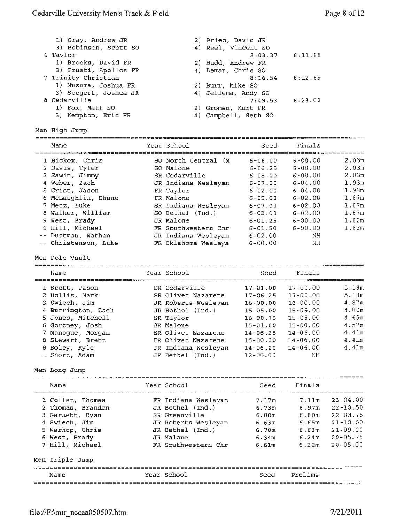| 1) Gray, Andrew JR    | 2) Prieb, David JR   |         |
|-----------------------|----------------------|---------|
| 3) Robinson, Scott SO | 4) Reel, Vincent SO  |         |
| 6 Taylor              | $8:03.37$ $8:11.88$  |         |
| 1) Brooks, David FR   | 2) Budd, Andrew FR   |         |
| 3) Frusti, Apollos FR | 4) Leman, Chris SO   |         |
| 7 Trinity Christian   | $8:16.54$ $8:12.89$  |         |
| 1) Muzuma, Joshua FR  | 2) Burr, Mike SO     |         |
| 3) Seegert, Joshua JR | 4) Jellema, Andy SO  |         |
| 8 Cedarville          | 7:49.53              | 8:23.02 |
| 1) Fox, Matt SO       | 2) Groman, Kurt FR   |         |
| 3) Kempton, Eric FR   | 4) Campbell, Seth SO |         |

Men High Jump

| Name                 | Year School         | seed          | Finals      |       |
|----------------------|---------------------|---------------|-------------|-------|
| 1 Hickox, Chris      | SO North Central (M | $6 - 08.00$   | $6 - 08.00$ | 2.03m |
| 2 Davis, Tyler       | SO Malone           | $6 - 06.25$   | $6 - 08.00$ | 2.03m |
| 3 Sawin, Jimmy       | SR Cedarville       | $6 - 08.00$   | $6 - 08.00$ | 2.03m |
| 4 Weber, Zach        | JR Indiana Wesleyan | $6 - 07 - 00$ | $6 - 04.00$ | 1.93m |
| 5 Crist, Jason       | FR Taylor           | $6 - 02.00$   | $6 - 04.00$ | 1.93m |
| 6 McLaughlin, Shane  | FR Malone           | $6 - 05.00$   | $6 - 02.00$ | 1.87m |
| 7 Metz, Luke         | SR Indiana Wesleyan | $6 - 07.00$   | $6 - 02.00$ | 1.87m |
| 8 Walker, William    | SO Bethel (Ind.)    | $6 - 02.00$   | $6 - 02.00$ | 1.87m |
| 9 West, Brady        | JR Malone           | $6 - 01.25$   | $6 - 00.00$ | 1.82m |
| 9 Hill, Michael      | FR Southwestern Chr | $6 - 01.50$   | $6 - 00.00$ | 1.82m |
| -- Dustman, Nathan   | JR Indiana Wesleyan | $6 - 02.00$   | NΗ          |       |
| -- Christenson, Luke | FR Oklahoma Wesleya | $6 - 00.00$   | NΗ          |       |

Men Pole Vault

| Name               | Year School         | Seed         | Finals       |       |
|--------------------|---------------------|--------------|--------------|-------|
| 1 Scott, Jason     | SR Cedarville       | $17 - 01.00$ | $17 - 00.00$ | 5.18m |
| 2 Hollis, Mark     | SR Olivet Nazarene  | $17 - 06.25$ | $17 - 00.00$ | 5.18m |
| 3 Swiech, Jim      | JR Roberts Wesleyan | $16 - 00.00$ | $16 - 00.00$ | 4.87m |
| 4 Burrington, Zach | JR Bethel (Ind.)    | $15 - 05.00$ | $15 - 09.00$ | 4.80m |
| 5 Jones, Mitchell  | SR Taylor           | $16 - 00.75$ | $15 - 05.00$ | 4.69m |
| 6 Gortney, Josh    | JR Malone           | $15 - 01.00$ | $15 - 00.00$ | 4.57m |
| 7 Manoque, Morqan  | SR Olivet Nazarene  | $14 - 06.25$ | $14 - 06.00$ | 4.41m |
| 8 Stewart, Brett   | FR Olivet Nazarene  | $15 - 00.00$ | $14 - 06.00$ | 4.41m |
| 8 Boley, Kyle      | JR Indiana Wesleyan | $14 - 06.00$ | $14 - 06.00$ | 4.41m |
| -- Short, Adam     | JR Bethel (Ind.)    | $12 - 00.00$ | ΝH           |       |

Men Long Jump

| Name                                                                                                                             | Year School                                                                                                                             | Seed                                                                    | Finals                                                                       |                                                                                                              |
|----------------------------------------------------------------------------------------------------------------------------------|-----------------------------------------------------------------------------------------------------------------------------------------|-------------------------------------------------------------------------|------------------------------------------------------------------------------|--------------------------------------------------------------------------------------------------------------|
| 1 Collet, Thomas<br>2 Thomas, Brandon<br>3 Garnett, Ryan<br>4 Swiech, Jim<br>5 Warhop, Chris<br>6 West, Brady<br>7 Hill, Michael | FR Indiana Wesleyan<br>JR Bethel (Ind.)<br>SR Greenville<br>JR Roberts Wesleyan<br>JR Bethel (Ind.)<br>JR Malone<br>FR Southwestern Chr | 7.17m<br>6.73m<br>6.80 <sub>m</sub><br>6.63m<br>6.70m<br>6.34m<br>6.61m | 7.11m<br>6.97m<br>6.80 <sub>m</sub><br>6.65m<br>6.63m<br>6.24m<br>$6 - 2.2m$ | $23 - 04.00$<br>$22 - 10.50$<br>$22 - 03.75$<br>$21 - 10.00$<br>$21 - 09.00$<br>$20 - 05.75$<br>$20 - 05.00$ |
| Men Triple Jump<br>Name                                                                                                          | Year School                                                                                                                             | Seed                                                                    | Prelims                                                                      |                                                                                                              |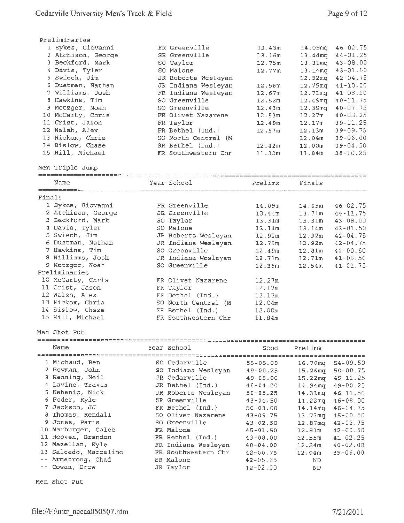| Preliminaries      |                      |        |                     |                |
|--------------------|----------------------|--------|---------------------|----------------|
| 1 Sykes, Giovanni  | FR Greenville        | 13.43m | 14.09mg             | $46 - 02.75$   |
| 2 Atchison, George | SR Greenville        | 13.16m | 13.44 <sub>mq</sub> | $44 - 01.25$   |
| 3 Beckford, Mark   | SO Taylor            | 12.75m | $13.31$ mg          | $43 - 08 - 00$ |
| 4 Davis, Tyler     | SO Malone            | 12.77m | $13.14$ ma          | $43 - 01.50$   |
| 5 Swiech, Jim      | JR Roberts Wesleyan  |        | 12.92mg             | $42 - 04.75$   |
| 6 Dustman, Nathan  | JR Indiana Wesleyan  | 12.56m | $12.75$ mg          | $41 - 10.00$   |
| 7 Williams, Josh   | FR Indiana Wesleyan  | 12.67m | 12.71 <sub>mq</sub> | $41 - 08.50$   |
| 8 Hawkins, Tim     | SO Greenville        | 12.52m | $12.49$ mg          | $40 - 11.75$   |
| 9 Metzger, Noah    | SO Greenville        | 12.43m | 12.39 <sub>ma</sub> | $40 - 07.75$   |
| 10 McCarty, Chris  | FR Olivet Nazarene   | 12.53m | 12.27m              | $40 - 03.25$   |
| 11 Crist, Jason    | FR Taylor            | 12.49m | 12.17m              | $39 - 11.25$   |
| 12 Walsh, Alex     | FR Bethel (Ind.)     | 12.57m | 12.13m              | $39 - 09.75$   |
| 13 Hickox, Chris   | SO North Central (M) |        | 12.04 <sub>m</sub>  | $39 - 06.00$   |
| 14 Bislow, Chase   | SR Bethel (Ind.)     | 12.42m | 12.00 <sub>m</sub>  | $39 - 04.50$   |
| 15 Hill, Michael   | FR Southwestern Chr  | 11.32m | 11.84m              | $38 - 10.25$   |

### Men Triple Jump

|      |             |                            | ____________ |
|------|-------------|----------------------------|--------------|
| Name | Year School | Prel<br>elims              | Finals       |
|      |             | ■■■■■■==================== |              |

| Finals |                    |                      |                    |                     |              |
|--------|--------------------|----------------------|--------------------|---------------------|--------------|
|        | 1 Sykes, Giovanni  | FR Greenville        | 14.09m             | 14.09m              | $46 - 02.75$ |
|        | 2 Atchison, George | SR Greenville        | 13.44m             | 13.71m              | $44 - 11.75$ |
|        | 3 Beckford, Mark   | SO Taylor            | 13.31m             | 13.31m              | $43 - 08.00$ |
|        | 4 Davis, Tyler     | SO Malone            | 13.14m             | 13.14m              | $43 - 01.50$ |
|        | 5 Swiech, Jim      | JR Roberts Wesleyan  | 12.92m             | 12.92m              | $42 - 04.75$ |
|        | 6 Dustman, Nathan  | JR Indiana Wesleyan  | 12.75m             | 12.92m              | $42 - 04.75$ |
|        | 7 Hawkins, Tim     | SO Greenville        | 12.49m             | 12.81m              | $42 - 00.50$ |
|        | 8 Williams, Josh   | FR Indiana Wesleyan  | 12.71m             | 12.71m              | $41 - 08.50$ |
|        | 9 Metzger, Noah    | SO Greenville        | 12.39m             | $12.54m$ $41-01.75$ |              |
|        | Preliminaries      |                      |                    |                     |              |
|        | 10 McCarty, Chris  | FR Olivet Nazarene   | 12.27m             |                     |              |
|        | 11 Crist, Jason    | FR Taylor            | 12.17m             |                     |              |
|        | 12 Walsh, Alex     | FR Bethel (Ind.)     | 12.13m             |                     |              |
|        | 13 Hickox, Chris   | SO North Central (M) | 12.04 <sub>m</sub> |                     |              |
|        | 14 Bislow, Chase   | SR Bethel (Ind.)     | 12.00m             |                     |              |
|        | 15 Hill, Michael   | FR Southwestern Chr  | 11.84m             |                     |              |

**Men** Shot Put

| Name                  |  | Year School         | Seed         | Prelime             |               |  |  |  |  |
|-----------------------|--|---------------------|--------------|---------------------|---------------|--|--|--|--|
|                       |  |                     | ============ |                     |               |  |  |  |  |
| 1 Michaud, Ben        |  | SO Cedarville       | $55 - 05.00$ | 16.70 <sub>mq</sub> | $54 - 09.50$  |  |  |  |  |
| 2 Bowman, John        |  | SO Indiana Wesleyan | $49 - 00.25$ | $15.26$ mg          | $50 - 00.75$  |  |  |  |  |
| 3 Henning, Neil       |  | JR Cedarville       | $49 - 05.00$ | $15.22$ mg          | $49 - 11.25$  |  |  |  |  |
| 4 Lavine, Travis      |  | JR Bethel (Ind.)    | $48 - 04.00$ | 14.94 <sub>mq</sub> | $49 - 00.25$  |  |  |  |  |
| 5 Kahanic, Nick       |  | JR Roberts Weslevan | $50 - 05.25$ | 14.31mg             | $46 - 11.50$  |  |  |  |  |
| 6 Foder, Kyle         |  | SR Greenville       | $43 - 04.50$ | $14.22$ mg          | $46 - 08.00$  |  |  |  |  |
| 7 Jackson, JJ         |  | FR Bethel (Ind.)    | $50 - 03.00$ | 14.14 <sub>mq</sub> | $46 - 04, 75$ |  |  |  |  |
| 8 Thomas, Kendall     |  | SO Olivet Nazarene  | $43 - 09.75$ | $13.73$ mg          | $45 - 00.50$  |  |  |  |  |
| 9 Jones, Paris        |  | SO Greenville       | $43 - 02.50$ | 12.87 <sub>ma</sub> | $42 - 02.75$  |  |  |  |  |
| 10 Marburger, Caleb   |  | FR Malone           | $45 - 01.50$ | 12.81m              | $42 - 00.50$  |  |  |  |  |
| 11 Hooven, Brandon    |  | FR Bethel (Ind.)    | $43 - 08.00$ | 12.55m              | $41 - 02.25$  |  |  |  |  |
| 12 Mazellan, Kyle     |  | FR Indiana Wesleyan | $40 - 04.00$ | 12.24 <sub>π</sub>  | $40 - 02.00$  |  |  |  |  |
| 13 Salcedo, Marcelino |  | FR Southwestern Chr | $42 - 00.75$ | 12.04m              | $39 - 06.00$  |  |  |  |  |
| -- Armstrong, Chad    |  | SR Malone           | $42 - 05.25$ | ND.                 |               |  |  |  |  |
| -- Cowan, Drew        |  | JR Taylor           | $42 - 02.00$ | <b>ND</b>           |               |  |  |  |  |

Men Shot Put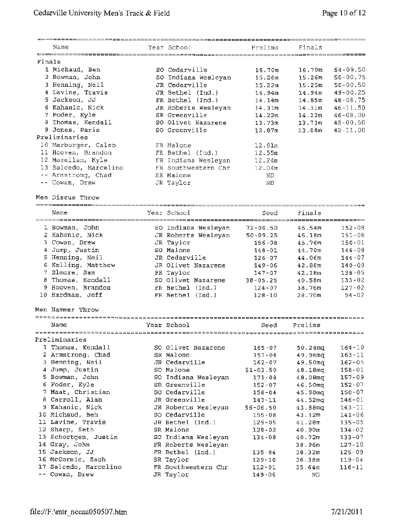|        | Name                                           | Year School                     | Prelims            | Finals             |               |
|--------|------------------------------------------------|---------------------------------|--------------------|--------------------|---------------|
|        |                                                |                                 |                    |                    |               |
| Finals |                                                |                                 |                    |                    |               |
|        | 1 Michaud, Ben                                 | SO Cedarville                   | 16.70 <sub>m</sub> | 16.70m             | $54 - 09.50$  |
|        | 2 Bowman, John                                 | SO Indiana Wesleyan             | 15.26m             | 15.26 <sub>m</sub> | $50 - 00, 75$ |
|        | 3 Henning, Neil                                | JR Cedarville                   | 15.22m             | 15.25m             | $50 - 00.50$  |
|        | 4 Lavine, Travis                               | JR Bethel (Ind.)                | 14.94m             | 14.94m             | $49 - 00.25$  |
|        | 5 Jackson, JJ                                  | FR Bethel (Ind.)                | 14.14m             | 14.85m             | $48 - 08.75$  |
|        | 6 Kahanic, Nick                                | JR Roberts Wesleyan             | 14.31m             | 14.31 <sub>m</sub> | $46 - 11.50$  |
|        | 7 Foder, Kyle                                  | SR Greenville                   | 14.22m             | 14.22m             | 46-08.00      |
|        | 8 Thomas, Kendall                              | SO Olivet Nazarene              | 13.73m             | 13.73m             | $45 - 00.50$  |
|        | 9 Jones, Paris                                 | SO Greenville                   | 12.87m             | 13.08m             | $42 - 11.00$  |
|        | Preliminaries                                  |                                 |                    |                    |               |
|        | 10 Marburger, Caleb                            | FR Malone                       | 12.81m             |                    |               |
|        | 11 Hooven, Brandon                             | FR Bethel (Ind.)                | 12.55m             |                    |               |
|        | 12 Mazellan, Kyle                              | FR Indiana Wesleyan             | 12.24m             |                    |               |
|        | 13 Salcedo, Marcelino                          | FR Southwestern Chr             | 12.04m             |                    |               |
|        | -- Armstrong, Chad                             | SR Malone                       | ND.                |                    |               |
|        | -- Cowan, Drew                                 | JR Taylor                       | ND.                |                    |               |
|        |                                                |                                 |                    |                    |               |
|        | Men Discus Throw                               |                                 |                    |                    |               |
|        | Name                                           | Year School                     | Seed               | Finals             |               |
|        | ======================<br>1 Bowman, John       | SO Indiana Wesleyan             | $72 - 00.50$       | 46.54m             | $152 - 08$    |
|        | 2 Kahanic, Nick                                | JR Roberts Wesleyan             | $50 - 09.25$       | 46.18m             | $151 - 06$    |
|        | 3 Cowan, Drew                                  | JR Taylor                       | $156 - 08$         | 45.76m             | $150 - 01$    |
|        | 4 Jump, Justin                                 | SO Malone                       | $148 - 01$         | 44.70m             | $146 - 08$    |
|        | 5 Henning, Neil                                | JR Cedarville                   | $126 - 07$         | 44.06m             | $144 - 07$    |
|        | 6 Kelling, Matthew                             | JR Olivet Nazarene              | $149 - 06$         | 42.88m             | $140 - 08$    |
|        | 7 Elmore, Sam                                  |                                 | $147 - 07$         | 42.10 <sub>m</sub> | $138 - 05$    |
|        | 8 Thomas, Kendall                              | FR Taylor<br>SO Olivet Nazarene |                    |                    |               |
|        |                                                |                                 | $38 - 05.25$       | 40.58m             | $133 - 02$    |
|        | 9 Hooven, Brandon                              | FR Bethel (Ind.)                | $124 - 07$         | 38.76m             | $127 - 02$    |
|        | 10 Hardman, Jeff                               | FR Bethel (Ind.)                | $128 - 10$         | 28.70m             | $94 - 02$     |
|        | Men Hammer Throw                               |                                 |                    |                    |               |
|        | ======================================<br>Name | Year School                     |                    | Prelims            |               |
|        |                                                |                                 | Seed               |                    |               |

-----------------------==~===========================~~;~===~~=~=================-- Preliminaries 1 Thomas, Kendall 50 Olivet Nazarene 165-07 50.24mq 164-10 2 Armstrong, Chad  $S$ R Malone  $157-04$  49.96m $q$   $163-11$ 3 Henning, Neil  $JR$  Cedarville  $162-07$  49.50mq  $162-05$ 

| n mannennell mort     | ON COUGLYTTE        | $\perp$ 0 $\leq$ - 0 $\neq$ |                     | 106-VJ     |
|-----------------------|---------------------|-----------------------------|---------------------|------------|
| 4 Jump, Justin        | SO Malone           | $51 - 03.50$                | 48.18ma             | $158 - 01$ |
| 5 Bowman, John        | SO Indiana Wesleyan | $171 - 08$                  | 48.08mq             | $157 - 09$ |
| 6 Foder, Kyle         | SR Greenville       | $152 - 07$                  | 46.50 <sub>m</sub>  | $152 - 07$ |
| 7 Maat, Christian     | SO Cedarville       | $158 - 04$                  | 45.90mg             | $150 - 07$ |
| 8 Carroll, Alan       | JR Greenville       | $143 - 11$                  | 44.52mg             | $146 - 01$ |
| 9 Kahanic, Nick       | JR Roberts Wesleyan | $56 - 06.50$                | 43.88 <sub>mq</sub> | $143 - 11$ |
| 10 Michaud, Ben       | SO Cedarville       | $155 - 08$                  | 43.12m              | $141 - 06$ |
| 11 Lavine, Travis     | JR Bethel (Ind.)    | $129 - 05$                  | 41.28m              | $135 - 05$ |
| 12 Sharp, Seth        | SR Malone           | $128 - 02$                  | 40.90 <sub>m</sub>  | $134 - 02$ |
| 13 Schortgen, Justin  | SO Indiana Wesleyan | $134 - 08$                  | 40.72m              | $133 - 07$ |
| 14 Gray, John         | FR Roberts Wesleyan |                             | 38.96m              | $127 - 10$ |
| 15 Jackson, JJ        | FR Bethel (Ind.)    | $135 - 04$                  | 38.32m              | $125 - 09$ |
| 16 McCormic, Zach     | SR Taylor           | $129 - 10$                  | 36.38m              | $119 - 04$ |
| 17 Salcedo, Marcelino | FR Southwestern Chr | $112 - 01$                  | 35.64m              | $116 - 11$ |
| -- Cowan, Drew        | JR Taylor           | $149 - 06$                  | ND.                 |            |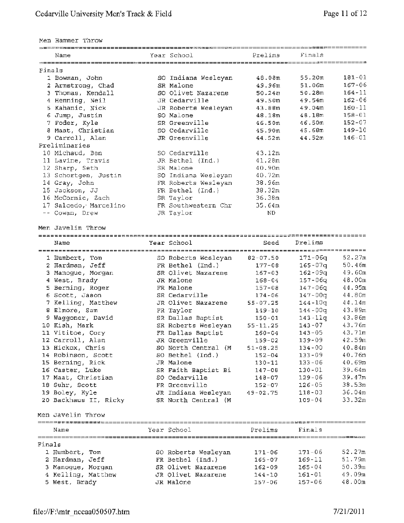Men Hammer Throw

|        | Men ugumet futow      |                     |              |             |            |
|--------|-----------------------|---------------------|--------------|-------------|------------|
|        | Name                  | Year School         | Prelims      | Finals      |            |
| Finals |                       |                     |              |             |            |
|        | 1 Bowman, John        | SO Indiana Wesleyan | 48.08m       | 55.20m      | 181-01     |
|        | 2 Armstrong, Chad     | SR Malone           | 49.96m       | 51.06m      | 167-06     |
|        | 3 Thomas, Kendall     | SO Olivet Nazarene  | 50.24m       | 50.28m      | $164 - 11$ |
|        | 4 Henning, Neil       | JR Cedarville       | 49.50m       | 49.54m      | $162 - 06$ |
|        | 5 Kahanic, Nick       | JR Roberts Wesleyan | 43.88m       | 49.04m      | $160 - 11$ |
|        | 6 Jump, Justin        | SO Malone           | 48.18m       | 48.18m      | $158 - 01$ |
|        | 7 Foder, Kyle         | SR Greenville       | 46.50m       | 46.50m      | $152 - 07$ |
|        | 8 Maat, Christian     | SO Cedarville       | 45.90m       | 45.68m      | $149 - 10$ |
|        | 9 Carroll, Alan       | JR Greenville       | 44.52m       | 44.52m      | $146 - 01$ |
|        | Preliminaries         |                     |              |             |            |
|        | 10 Michaud, Ben       | SO Cedarville       | 43.12m       |             |            |
|        | 11 Lavine, Travis     | JR Bethel (Ind.)    | 41.28m       |             |            |
|        | 12 Sharp, Seth        | SR Malone           | 40.90m       |             |            |
|        | 13 Schortgen, Justin  | SO Indiana Wesleyan | 40.72m       |             |            |
|        | 14 Gray, John         | FR Roberts Wesleyan | 38.96m       |             |            |
|        | 15 Jackson, JJ        | FR Bethel (Ind.)    | 38.32m       |             |            |
|        | 16 McCormic, Zach     | SR Taylor           | 36.38m       |             |            |
|        | 17 Salcedo, Marcelino | FR Southwestern Chr | 35.64m       |             |            |
|        | -- Cowan, Drew        | JR Taylor           | ND.          |             |            |
|        | Men Javelin Throw     |                     |              |             |            |
|        | Name                  | Year School         | Seed         | Prelims     |            |
|        |                       |                     |              |             |            |
|        | 1 Humbert, Tom        | SO Roberts Wesleyan | $82 - 07.50$ | 171-06g     | 52.27m     |
|        | 2 Hardman, Jeff       | FR Bethel (Ind.)    | $177 - 08$   | $165 - 07q$ | 50.46m     |
|        | 3 Manogue, Morgan     | SR Olivet Nazarene  | $167 - 03$   | $162 - 09q$ | 49.60m     |
|        | 4 West, Brady         | JR Malone           | $168 - 04$   | 157-06q     | 48.00m     |
|        | 5 Berning, Roger      | FR Malone           | $157 - 08$   | 147-06g     | 44.95m     |
|        | 6 Scott, Jason        | SR Cedarville       | $174 - 06$   | $147 - 00q$ | 44.80m     |
|        | 7 Kelling, Matthew    | JR Olivet Nazarene  | $55 - 07.25$ | 144-10q     | 44.14m     |
|        | 8 Elmore, Sam         | FR Taylor           | $149 - 10$   | 144-00a     | 43.89m     |
|        | 9 Waggoner, David     | SR Dallas Baptist   | $150 - 01$   | $143 - 11q$ | 43.86m     |
|        | 10 Kish, Mark         | SR Roberts Wesleyan | $55 - 11.25$ | $143 - 07$  | 43,76m     |
|        | 11 Vititoe, Cory      | FR Dallas Baptist   | $160 - 04$   | $143 - 05$  | 43.71m     |
|        | 12 Carroll, Alan      | JR Greenville       | 159-02       | 139-09      | 42.59m     |
|        | 13 Hickox, Chris      | SO North Central (M | $51 - 08.25$ | $134 - 00$  | 40.84m     |
|        | 14 Robinson, Scott    | SO Bethel (Ind.)    | $152 - 04$   | $133 - 09$  | 40.76m     |

| 18 Suhr, Scott<br>19 Boley, Kyle<br>20 Backhaus II, Ricky | FR Greenville<br>JR Indiana Wesleyan<br>SR North Central (M) | $152 - 07$<br>$49 - 02.75$ | $126 - 05$<br>$118 - 03$<br>$109 - 04$ | 38.53m<br>36.04m<br>33.32m |
|-----------------------------------------------------------|--------------------------------------------------------------|----------------------------|----------------------------------------|----------------------------|
| Men Javelin Throw                                         |                                                              |                            |                                        |                            |

|        | Name               |  | Year School         | Prelims    | Finals     |        |
|--------|--------------------|--|---------------------|------------|------------|--------|
| Finals |                    |  |                     |            |            |        |
|        | 1 Humbert, Tom     |  | SO Roberts Wesleyan | $171 - 06$ | $171 - 06$ | 52.27m |
|        | 2 Hardman, Jeff    |  | FR Bethel (Ind.)    | $165 - 07$ | $169 - 11$ | 51.79m |
|        | 3 Manoque, Morgan  |  | SR Olivet Nazarene  | $162 - 09$ | $165 - 04$ | 50.39m |
|        | 4 Kelling, Matthew |  | JR Olivet Nazarene  | $144 - 10$ | $161 - 01$ | 49.09m |
|        | 5 West, Brady      |  | JR Malone           | $157 - 06$ | $157 - 06$ | 48.00m |

15 Berning, Rick JR Malone 130-11 133-06 40.69m 16 Caster, Luke SR Faith Baptist Bi 147-08 130-01 39. 64m 17 Maat, Christian so Cedarville 148-07 129-06 39. 47m